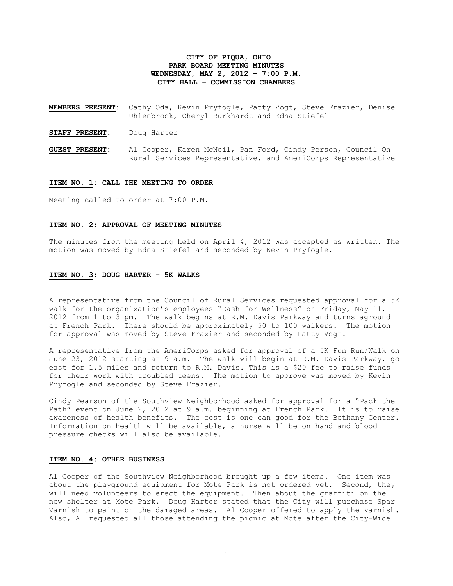# **CITY OF PIQUA, OHIO PARK BOARD MEETING MINUTES WEDNESDAY, MAY 2, 2012 – 7:00 P.M. CITY HALL – COMMISSION CHAMBERS**

**MEMBERS PRESENT:** Cathy Oda, Kevin Pryfogle, Patty Vogt, Steve Frazier, Denise Uhlenbrock, Cheryl Burkhardt and Edna Stiefel

**STAFF PRESENT:** Doug Harter

**GUEST PRESENT:** Al Cooper, Karen McNeil, Pan Ford, Cindy Person, Council On Rural Services Representative, and AmeriCorps Representative

## **ITEM NO. 1: CALL THE MEETING TO ORDER**

Meeting called to order at 7:00 P.M.

### **ITEM NO. 2: APPROVAL OF MEETING MINUTES**

The minutes from the meeting held on April 4, 2012 was accepted as written. The motion was moved by Edna Stiefel and seconded by Kevin Pryfogle.

#### **ITEM NO. 3: DOUG HARTER – 5K WALKS**

A representative from the Council of Rural Services requested approval for a 5K walk for the organization's employees "Dash for Wellness" on Friday, May 11, 2012 from 1 to 3 pm. The walk begins at R.M. Davis Parkway and turns aground at French Park. There should be approximately 50 to 100 walkers. The motion for approval was moved by Steve Frazier and seconded by Patty Vogt.

A representative from the AmeriCorps asked for approval of a 5K Fun Run/Walk on June 23, 2012 starting at 9 a.m. The walk will begin at R.M. Davis Parkway, go east for 1.5 miles and return to R.M. Davis. This is a \$20 fee to raise funds for their work with troubled teens. The motion to approve was moved by Kevin Pryfogle and seconded by Steve Frazier.

Cindy Pearson of the Southview Neighborhood asked for approval for a "Pack the Path" event on June 2, 2012 at 9 a.m. beginning at French Park. It is to raise awareness of health benefits. The cost is one can good for the Bethany Center. Information on health will be available, a nurse will be on hand and blood pressure checks will also be available.

# **ITEM NO. 4: OTHER BUSINESS**

Al Cooper of the Southview Neighborhood brought up a few items. One item was about the playground equipment for Mote Park is not ordered yet. Second, they will need volunteers to erect the equipment. Then about the graffiti on the new shelter at Mote Park. Doug Harter stated that the City will purchase Spar Varnish to paint on the damaged areas. Al Cooper offered to apply the varnish. Also, Al requested all those attending the picnic at Mote after the City-Wide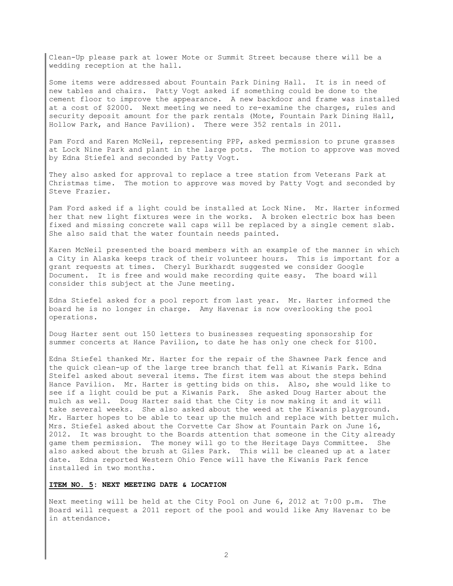Clean-Up please park at lower Mote or Summit Street because there will be a wedding reception at the hall.

Some items were addressed about Fountain Park Dining Hall. It is in need of new tables and chairs. Patty Vogt asked if something could be done to the cement floor to improve the appearance. A new backdoor and frame was installed at a cost of \$2000. Next meeting we need to re-examine the charges, rules and security deposit amount for the park rentals (Mote, Fountain Park Dining Hall, Hollow Park, and Hance Pavilion). There were 352 rentals in 2011.

Pam Ford and Karen McNeil, representing PPP, asked permission to prune grasses at Lock Nine Park and plant in the large pots. The motion to approve was moved by Edna Stiefel and seconded by Patty Vogt.

They also asked for approval to replace a tree station from Veterans Park at Christmas time. The motion to approve was moved by Patty Vogt and seconded by Steve Frazier.

Pam Ford asked if a light could be installed at Lock Nine. Mr. Harter informed her that new light fixtures were in the works. A broken electric box has been fixed and missing concrete wall caps will be replaced by a single cement slab. She also said that the water fountain needs painted.

Karen McNeil presented the board members with an example of the manner in which a City in Alaska keeps track of their volunteer hours. This is important for a grant requests at times. Cheryl Burkhardt suggested we consider Google Document. It is free and would make recording quite easy. The board will consider this subject at the June meeting.

Edna Stiefel asked for a pool report from last year. Mr. Harter informed the board he is no longer in charge. Amy Havenar is now overlooking the pool operations.

Doug Harter sent out 150 letters to businesses requesting sponsorship for summer concerts at Hance Pavilion, to date he has only one check for \$100.

Edna Stiefel thanked Mr. Harter for the repair of the Shawnee Park fence and the quick clean-up of the large tree branch that fell at Kiwanis Park. Edna Steifel asked about several items. The first item was about the steps behind Hance Pavilion. Mr. Harter is getting bids on this. Also, she would like to see if a light could be put a Kiwanis Park. She asked Doug Harter about the mulch as well. Doug Harter said that the City is now making it and it will take several weeks. She also asked about the weed at the Kiwanis playground. Mr. Harter hopes to be able to tear up the mulch and replace with better mulch. Mrs. Stiefel asked about the Corvette Car Show at Fountain Park on June 16, 2012. It was brought to the Boards attention that someone in the City already game them permission. The money will go to the Heritage Days Committee. She also asked about the brush at Giles Park. This will be cleaned up at a later date. Edna reported Western Ohio Fence will have the Kiwanis Park fence installed in two months.

## **ITEM NO. 5: NEXT MEETING DATE & LOCATION**

Next meeting will be held at the City Pool on June 6, 2012 at 7:00 p.m. The Board will request a 2011 report of the pool and would like Amy Havenar to be in attendance.